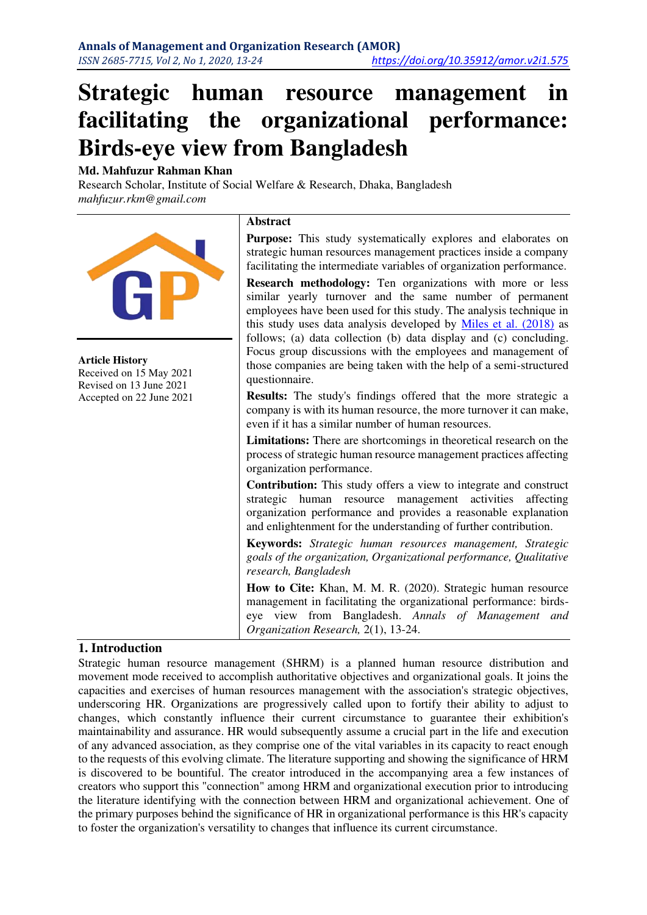# **Strategic human resource management in facilitating the organizational performance: Birds-eye view from Bangladesh**

#### **Md. Mahfuzur Rahman Khan**

Research Scholar, Institute of Social Welfare & Research, Dhaka, Bangladesh *mahfuzur.rkm@gmail.com* 



# **1. Introduction**

Strategic human resource management (SHRM) is a planned human resource distribution and movement mode received to accomplish authoritative objectives and organizational goals. It joins the capacities and exercises of human resources management with the association's strategic objectives, underscoring HR. Organizations are progressively called upon to fortify their ability to adjust to changes, which constantly influence their current circumstance to guarantee their exhibition's maintainability and assurance. HR would subsequently assume a crucial part in the life and execution of any advanced association, as they comprise one of the vital variables in its capacity to react enough to the requests of this evolving climate. The literature supporting and showing the significance of HRM is discovered to be bountiful. The creator introduced in the accompanying area a few instances of creators who support this "connection" among HRM and organizational execution prior to introducing the literature identifying with the connection between HRM and organizational achievement. One of the primary purposes behind the significance of HR in organizational performance is this HR's capacity to foster the organization's versatility to changes that influence its current circumstance.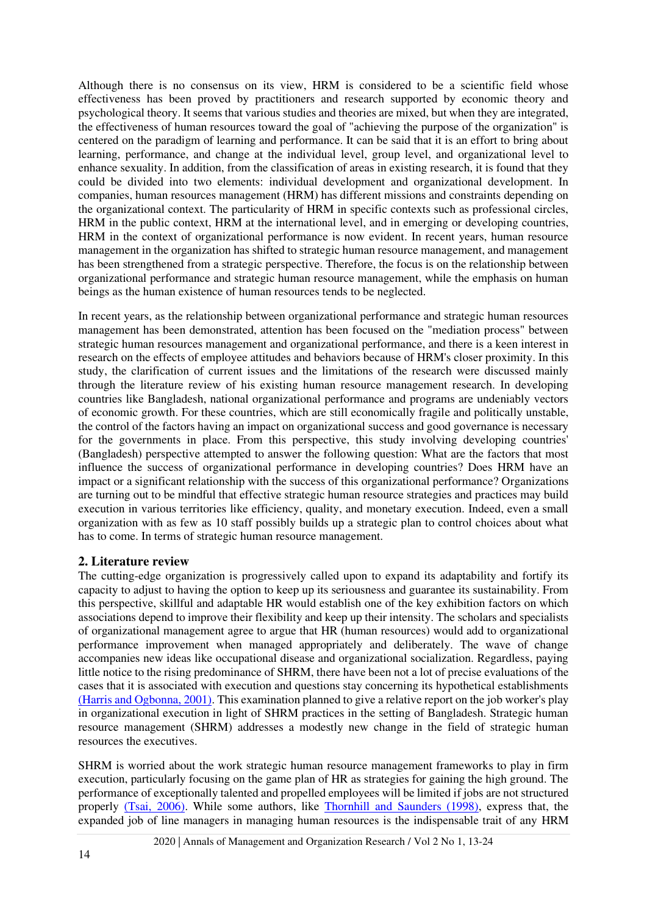Although there is no consensus on its view, HRM is considered to be a scientific field whose effectiveness has been proved by practitioners and research supported by economic theory and psychological theory. It seems that various studies and theories are mixed, but when they are integrated, the effectiveness of human resources toward the goal of "achieving the purpose of the organization" is centered on the paradigm of learning and performance. It can be said that it is an effort to bring about learning, performance, and change at the individual level, group level, and organizational level to enhance sexuality. In addition, from the classification of areas in existing research, it is found that they could be divided into two elements: individual development and organizational development. In companies, human resources management (HRM) has different missions and constraints depending on the organizational context. The particularity of HRM in specific contexts such as professional circles, HRM in the public context, HRM at the international level, and in emerging or developing countries, HRM in the context of organizational performance is now evident. In recent years, human resource management in the organization has shifted to strategic human resource management, and management has been strengthened from a strategic perspective. Therefore, the focus is on the relationship between organizational performance and strategic human resource management, while the emphasis on human beings as the human existence of human resources tends to be neglected.

In recent years, as the relationship between organizational performance and strategic human resources management has been demonstrated, attention has been focused on the "mediation process" between strategic human resources management and organizational performance, and there is a keen interest in research on the effects of employee attitudes and behaviors because of HRM's closer proximity. In this study, the clarification of current issues and the limitations of the research were discussed mainly through the literature review of his existing human resource management research. In developing countries like Bangladesh, national organizational performance and programs are undeniably vectors of economic growth. For these countries, which are still economically fragile and politically unstable, the control of the factors having an impact on organizational success and good governance is necessary for the governments in place. From this perspective, this study involving developing countries' (Bangladesh) perspective attempted to answer the following question: What are the factors that most influence the success of organizational performance in developing countries? Does HRM have an impact or a significant relationship with the success of this organizational performance? Organizations are turning out to be mindful that effective strategic human resource strategies and practices may build execution in various territories like efficiency, quality, and monetary execution. Indeed, even a small organization with as few as 10 staff possibly builds up a strategic plan to control choices about what has to come. In terms of strategic human resource management.

# **2. Literature review**

The cutting-edge organization is progressively called upon to expand its adaptability and fortify its capacity to adjust to having the option to keep up its seriousness and guarantee its sustainability. From this perspective, skillful and adaptable HR would establish one of the key exhibition factors on which associations depend to improve their flexibility and keep up their intensity. The scholars and specialists of organizational management agree to argue that HR (human resources) would add to organizational performance improvement when managed appropriately and deliberately. The wave of change accompanies new ideas like occupational disease and organizational socialization. Regardless, paying little notice to the rising predominance of SHRM, there have been not a lot of precise evaluations of the cases that it is associated with execution and questions stay concerning its hypothetical establishments [\(Harris and Ogbonna, 2001\).](#page-11-1) This examination planned to give a relative report on the job worker's play in organizational execution in light of SHRM practices in the setting of Bangladesh. Strategic human resource management (SHRM) addresses a modestly new change in the field of strategic human resources the executives.

SHRM is worried about the work strategic human resource management frameworks to play in firm execution, particularly focusing on the game plan of HR as strategies for gaining the high ground. The performance of exceptionally talented and propelled employees will be limited if jobs are not structured properly [\(Tsai, 2006\).](#page-11-2) While some authors, like [Thornhill and Saunders \(1998\),](#page-11-3) express that, the expanded job of line managers in managing human resources is the indispensable trait of any HRM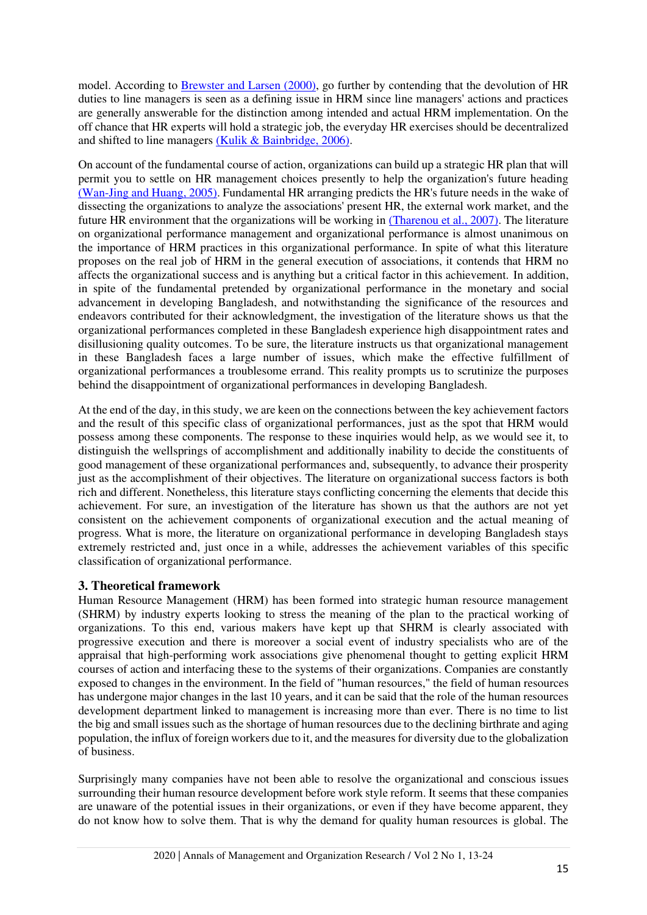model. According to [Brewster and Larsen \(2000\),](#page-11-4) go further by contending that the devolution of HR duties to line managers is seen as a defining issue in HRM since line managers' actions and practices are generally answerable for the distinction among intended and actual HRM implementation. On the off chance that HR experts will hold a strategic job, the everyday HR exercises should be decentralized and shifted to line managers [\(Kulik & Bainbridge, 2006\).](#page-11-5)

On account of the fundamental course of action, organizations can build up a strategic HR plan that will permit you to settle on HR management choices presently to help the organization's future heading [\(Wan-Jing and Huang, 2005\).](#page-11-6) Fundamental HR arranging predicts the HR's future needs in the wake of dissecting the organizations to analyze the associations' present HR, the external work market, and the future HR environment that the organizations will be working i[n \(Tharenou et al., 2007\).](#page-11-7) The literature on organizational performance management and organizational performance is almost unanimous on the importance of HRM practices in this organizational performance. In spite of what this literature proposes on the real job of HRM in the general execution of associations, it contends that HRM no affects the organizational success and is anything but a critical factor in this achievement. In addition, in spite of the fundamental pretended by organizational performance in the monetary and social advancement in developing Bangladesh, and notwithstanding the significance of the resources and endeavors contributed for their acknowledgment, the investigation of the literature shows us that the organizational performances completed in these Bangladesh experience high disappointment rates and disillusioning quality outcomes. To be sure, the literature instructs us that organizational management in these Bangladesh faces a large number of issues, which make the effective fulfillment of organizational performances a troublesome errand. This reality prompts us to scrutinize the purposes behind the disappointment of organizational performances in developing Bangladesh.

At the end of the day, in this study, we are keen on the connections between the key achievement factors and the result of this specific class of organizational performances, just as the spot that HRM would possess among these components. The response to these inquiries would help, as we would see it, to distinguish the wellsprings of accomplishment and additionally inability to decide the constituents of good management of these organizational performances and, subsequently, to advance their prosperity just as the accomplishment of their objectives. The literature on organizational success factors is both rich and different. Nonetheless, this literature stays conflicting concerning the elements that decide this achievement. For sure, an investigation of the literature has shown us that the authors are not yet consistent on the achievement components of organizational execution and the actual meaning of progress. What is more, the literature on organizational performance in developing Bangladesh stays extremely restricted and, just once in a while, addresses the achievement variables of this specific classification of organizational performance.

# **3. Theoretical framework**

Human Resource Management (HRM) has been formed into strategic human resource management (SHRM) by industry experts looking to stress the meaning of the plan to the practical working of organizations. To this end, various makers have kept up that SHRM is clearly associated with progressive execution and there is moreover a social event of industry specialists who are of the appraisal that high-performing work associations give phenomenal thought to getting explicit HRM courses of action and interfacing these to the systems of their organizations. Companies are constantly exposed to changes in the environment. In the field of "human resources," the field of human resources has undergone major changes in the last 10 years, and it can be said that the role of the human resources development department linked to management is increasing more than ever. There is no time to list the big and small issues such as the shortage of human resources due to the declining birthrate and aging population, the influx of foreign workers due to it, and the measures for diversity due to the globalization of business.

Surprisingly many companies have not been able to resolve the organizational and conscious issues surrounding their human resource development before work style reform. It seems that these companies are unaware of the potential issues in their organizations, or even if they have become apparent, they do not know how to solve them. That is why the demand for quality human resources is global. The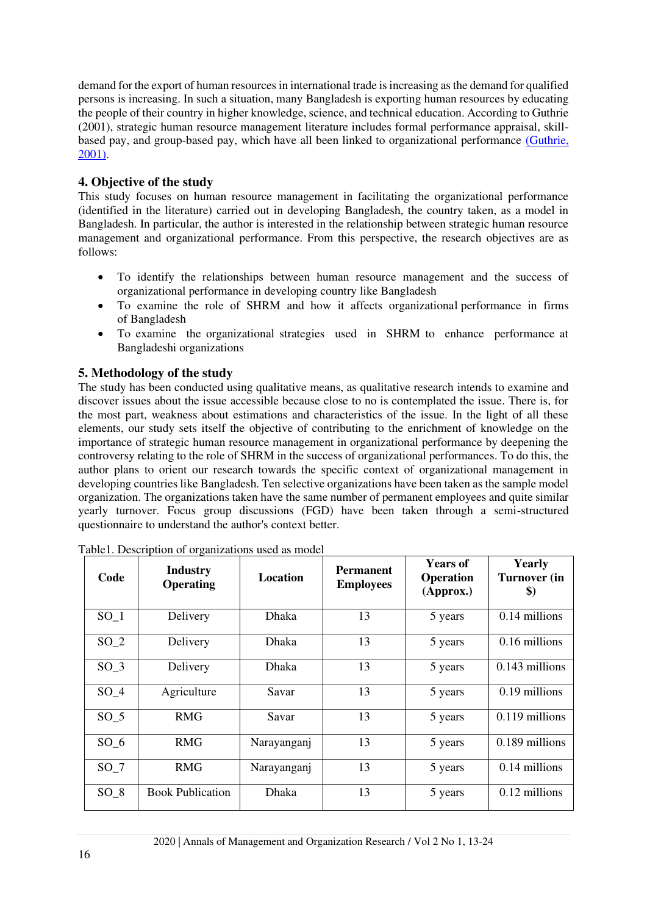demand for the export of human resources in international trade is increasing as the demand for qualified persons is increasing. In such a situation, many Bangladesh is exporting human resources by educating the people of their country in higher knowledge, science, and technical education. According to Guthrie (2001), strategic human resource management literature includes formal performance appraisal, skillbased pay, and group-based pay, which have all been linked to organizational performance [\(Guthrie,](#page-11-8)  [2001\).](#page-11-8)

# **4. Objective of the study**

This study focuses on human resource management in facilitating the organizational performance (identified in the literature) carried out in developing Bangladesh, the country taken, as a model in Bangladesh. In particular, the author is interested in the relationship between strategic human resource management and organizational performance. From this perspective, the research objectives are as follows:

- To identify the relationships between human resource management and the success of organizational performance in developing country like Bangladesh
- To examine the role of SHRM and how it affects organizational performance in firms of Bangladesh
- To examine the organizational strategies used in SHRM to enhance performance at Bangladeshi organizations

# **5. Methodology of the study**

The study has been conducted using qualitative means, as qualitative research intends to examine and discover issues about the issue accessible because close to no is contemplated the issue. There is, for the most part, weakness about estimations and characteristics of the issue. In the light of all these elements, our study sets itself the objective of contributing to the enrichment of knowledge on the importance of strategic human resource management in organizational performance by deepening the controversy relating to the role of SHRM in the success of organizational performances. To do this, the author plans to orient our research towards the specific context of organizational management in developing countries like Bangladesh. Ten selective organizations have been taken as the sample model organization. The organizations taken have the same number of permanent employees and quite similar yearly turnover. Focus group discussions (FGD) have been taken through a semi-structured questionnaire to understand the author's context better.

| Code            | <b>Industry</b><br><b>Operating</b> | <b>Location</b> | <b>Permanent</b><br><b>Employees</b> | <b>Years of</b><br><b>Operation</b><br>(Approx.) | Yearly<br><b>Turnover (in</b><br>$\boldsymbol{\$})$ |
|-----------------|-------------------------------------|-----------------|--------------------------------------|--------------------------------------------------|-----------------------------------------------------|
| $SO_1$          | Delivery                            | Dhaka           | 13                                   | 5 years                                          | 0.14 millions                                       |
| $SO_2$          | Delivery                            | <b>Dhaka</b>    | 13                                   | 5 years                                          | 0.16 millions                                       |
| $SO_3$          | Delivery                            | <b>Dhaka</b>    | 13                                   | 5 years                                          | 0.143 millions                                      |
| $SO_4$          | Agriculture                         | Savar           | 13                                   | 5 years                                          | 0.19 millions                                       |
| SO <sub>5</sub> | <b>RMG</b>                          | Savar           | 13                                   | 5 years                                          | 0.119 millions                                      |
| $SO_6$          | <b>RMG</b>                          | Narayanganj     | 13                                   | 5 years                                          | 0.189 millions                                      |
| SO <sub>7</sub> | <b>RMG</b>                          | Narayanganj     | 13                                   | 5 years                                          | 0.14 millions                                       |
| $SO_8$          | <b>Book Publication</b>             | Dhaka           | 13                                   | 5 years                                          | $0.12$ millions                                     |

Table1. Description of organizations used as model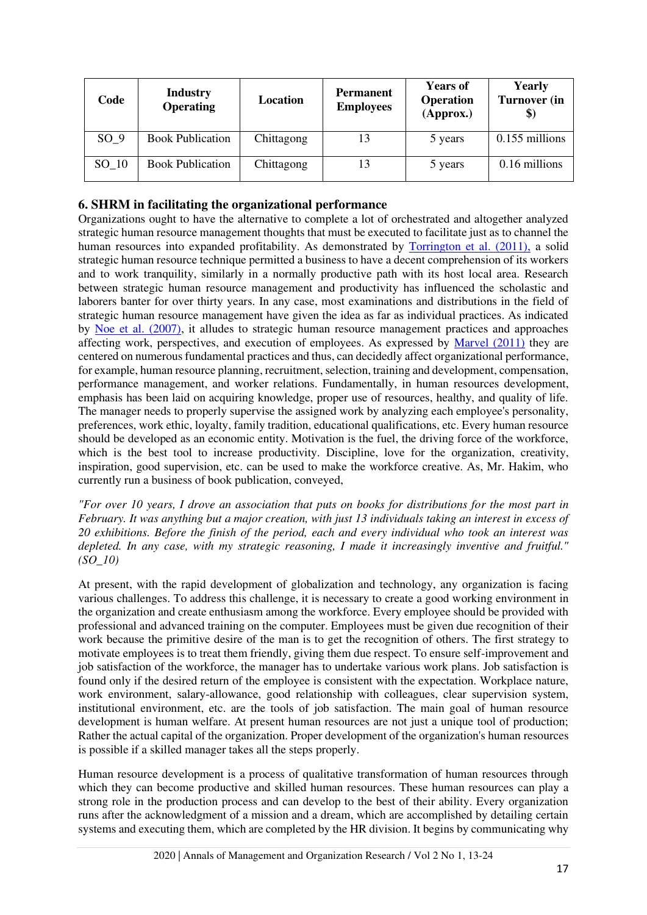| Code            | <b>Industry</b><br><b>Operating</b> | Location   | <b>Permanent</b><br><b>Employees</b> | <b>Years of</b><br><b>Operation</b><br>(Approx.) | <b>Yearly</b><br><b>Turnover (in</b><br>$\boldsymbol{\$})$ |
|-----------------|-------------------------------------|------------|--------------------------------------|--------------------------------------------------|------------------------------------------------------------|
| SO <sub>9</sub> | <b>Book Publication</b>             | Chittagong | 13                                   | 5 years                                          | $0.155$ millions                                           |
| SO 10           | <b>Book Publication</b>             | Chittagong | 13                                   | 5 years                                          | 0.16 millions                                              |

## **6. SHRM in facilitating the organizational performance**

Organizations ought to have the alternative to complete a lot of orchestrated and altogether analyzed strategic human resource management thoughts that must be executed to facilitate just as to channel the human resources into expanded profitability. As demonstrated by [Torrington et al. \(2011\),](#page-11-9) a solid strategic human resource technique permitted a business to have a decent comprehension of its workers and to work tranquility, similarly in a normally productive path with its host local area. Research between strategic human resource management and productivity has influenced the scholastic and laborers banter for over thirty years. In any case, most examinations and distributions in the field of strategic human resource management have given the idea as far as individual practices. As indicated by [Noe et al. \(2007\),](#page-11-10) it alludes to strategic human resource management practices and approaches affecting work, perspectives, and execution of employees. As expressed by [Marvel \(2011\)](#page-11-11) they are centered on numerous fundamental practices and thus, can decidedly affect organizational performance, for example, human resource planning, recruitment, selection, training and development, compensation, performance management, and worker relations. Fundamentally, in human resources development, emphasis has been laid on acquiring knowledge, proper use of resources, healthy, and quality of life. The manager needs to properly supervise the assigned work by analyzing each employee's personality, preferences, work ethic, loyalty, family tradition, educational qualifications, etc. Every human resource should be developed as an economic entity. Motivation is the fuel, the driving force of the workforce, which is the best tool to increase productivity. Discipline, love for the organization, creativity, inspiration, good supervision, etc. can be used to make the workforce creative. As, Mr. Hakim, who currently run a business of book publication, conveyed,

*"For over 10 years, I drove an association that puts on books for distributions for the most part in February. It was anything but a major creation, with just 13 individuals taking an interest in excess of 20 exhibitions. Before the finish of the period, each and every individual who took an interest was depleted. In any case, with my strategic reasoning, I made it increasingly inventive and fruitful." (SO\_10)* 

At present, with the rapid development of globalization and technology, any organization is facing various challenges. To address this challenge, it is necessary to create a good working environment in the organization and create enthusiasm among the workforce. Every employee should be provided with professional and advanced training on the computer. Employees must be given due recognition of their work because the primitive desire of the man is to get the recognition of others. The first strategy to motivate employees is to treat them friendly, giving them due respect. To ensure self-improvement and job satisfaction of the workforce, the manager has to undertake various work plans. Job satisfaction is found only if the desired return of the employee is consistent with the expectation. Workplace nature, work environment, salary-allowance, good relationship with colleagues, clear supervision system, institutional environment, etc. are the tools of job satisfaction. The main goal of human resource development is human welfare. At present human resources are not just a unique tool of production; Rather the actual capital of the organization. Proper development of the organization's human resources is possible if a skilled manager takes all the steps properly.

Human resource development is a process of qualitative transformation of human resources through which they can become productive and skilled human resources. These human resources can play a strong role in the production process and can develop to the best of their ability. Every organization runs after the acknowledgment of a mission and a dream, which are accomplished by detailing certain systems and executing them, which are completed by the HR division. It begins by communicating why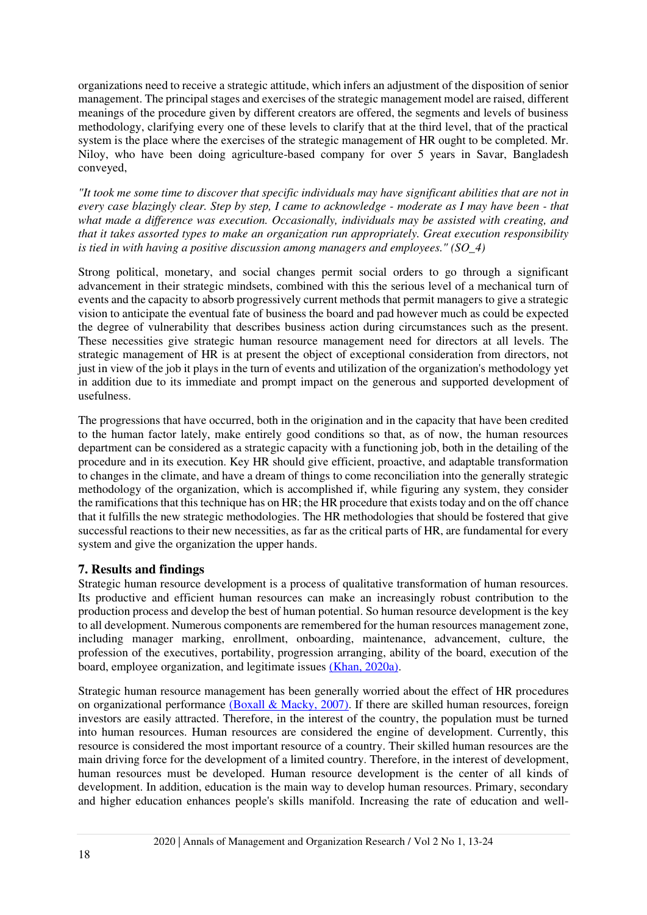organizations need to receive a strategic attitude, which infers an adjustment of the disposition of senior management. The principal stages and exercises of the strategic management model are raised, different meanings of the procedure given by different creators are offered, the segments and levels of business methodology, clarifying every one of these levels to clarify that at the third level, that of the practical system is the place where the exercises of the strategic management of HR ought to be completed. Mr. Niloy, who have been doing agriculture-based company for over 5 years in Savar, Bangladesh conveyed,

*"It took me some time to discover that specific individuals may have significant abilities that are not in every case blazingly clear. Step by step, I came to acknowledge - moderate as I may have been - that what made a difference was execution. Occasionally, individuals may be assisted with creating, and that it takes assorted types to make an organization run appropriately. Great execution responsibility is tied in with having a positive discussion among managers and employees." (SO\_4)* 

Strong political, monetary, and social changes permit social orders to go through a significant advancement in their strategic mindsets, combined with this the serious level of a mechanical turn of events and the capacity to absorb progressively current methods that permit managers to give a strategic vision to anticipate the eventual fate of business the board and pad however much as could be expected the degree of vulnerability that describes business action during circumstances such as the present. These necessities give strategic human resource management need for directors at all levels. The strategic management of HR is at present the object of exceptional consideration from directors, not just in view of the job it plays in the turn of events and utilization of the organization's methodology yet in addition due to its immediate and prompt impact on the generous and supported development of usefulness.

The progressions that have occurred, both in the origination and in the capacity that have been credited to the human factor lately, make entirely good conditions so that, as of now, the human resources department can be considered as a strategic capacity with a functioning job, both in the detailing of the procedure and in its execution. Key HR should give efficient, proactive, and adaptable transformation to changes in the climate, and have a dream of things to come reconciliation into the generally strategic methodology of the organization, which is accomplished if, while figuring any system, they consider the ramifications that this technique has on HR; the HR procedure that exists today and on the off chance that it fulfills the new strategic methodologies. The HR methodologies that should be fostered that give successful reactions to their new necessities, as far as the critical parts of HR, are fundamental for every system and give the organization the upper hands.

## **7. Results and findings**

Strategic human resource development is a process of qualitative transformation of human resources. Its productive and efficient human resources can make an increasingly robust contribution to the production process and develop the best of human potential. So human resource development is the key to all development. Numerous components are remembered for the human resources management zone, including manager marking, enrollment, onboarding, maintenance, advancement, culture, the profession of the executives, portability, progression arranging, ability of the board, execution of the board, employee organization, and legitimate issues [\(Khan, 2020a\).](#page-11-12)

Strategic human resource management has been generally worried about the effect of HR procedures on organizational performance  $(Boxall & Macky, 2007)$ . If there are skilled human resources, foreign investors are easily attracted. Therefore, in the interest of the country, the population must be turned into human resources. Human resources are considered the engine of development. Currently, this resource is considered the most important resource of a country. Their skilled human resources are the main driving force for the development of a limited country. Therefore, in the interest of development, human resources must be developed. Human resource development is the center of all kinds of development. In addition, education is the main way to develop human resources. Primary, secondary and higher education enhances people's skills manifold. Increasing the rate of education and well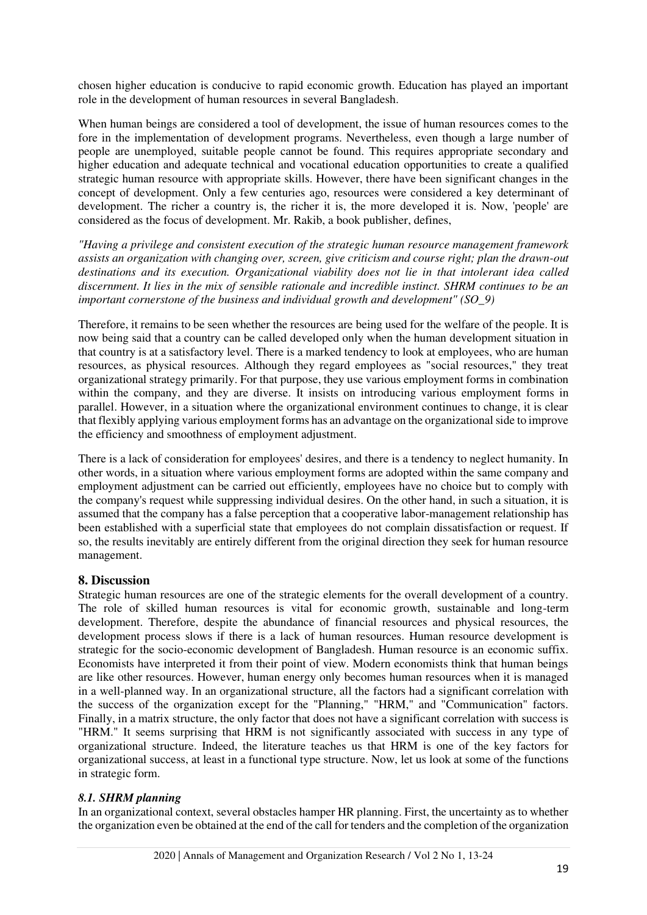chosen higher education is conducive to rapid economic growth. Education has played an important role in the development of human resources in several Bangladesh.

When human beings are considered a tool of development, the issue of human resources comes to the fore in the implementation of development programs. Nevertheless, even though a large number of people are unemployed, suitable people cannot be found. This requires appropriate secondary and higher education and adequate technical and vocational education opportunities to create a qualified strategic human resource with appropriate skills. However, there have been significant changes in the concept of development. Only a few centuries ago, resources were considered a key determinant of development. The richer a country is, the richer it is, the more developed it is. Now, 'people' are considered as the focus of development. Mr. Rakib, a book publisher, defines,

*"Having a privilege and consistent execution of the strategic human resource management framework assists an organization with changing over, screen, give criticism and course right; plan the drawn-out destinations and its execution. Organizational viability does not lie in that intolerant idea called discernment. It lies in the mix of sensible rationale and incredible instinct. SHRM continues to be an important cornerstone of the business and individual growth and development" (SO\_9)* 

Therefore, it remains to be seen whether the resources are being used for the welfare of the people. It is now being said that a country can be called developed only when the human development situation in that country is at a satisfactory level. There is a marked tendency to look at employees, who are human resources, as physical resources. Although they regard employees as "social resources," they treat organizational strategy primarily. For that purpose, they use various employment forms in combination within the company, and they are diverse. It insists on introducing various employment forms in parallel. However, in a situation where the organizational environment continues to change, it is clear that flexibly applying various employment forms has an advantage on the organizational side to improve the efficiency and smoothness of employment adjustment.

There is a lack of consideration for employees' desires, and there is a tendency to neglect humanity. In other words, in a situation where various employment forms are adopted within the same company and employment adjustment can be carried out efficiently, employees have no choice but to comply with the company's request while suppressing individual desires. On the other hand, in such a situation, it is assumed that the company has a false perception that a cooperative labor-management relationship has been established with a superficial state that employees do not complain dissatisfaction or request. If so, the results inevitably are entirely different from the original direction they seek for human resource management.

## **8. Discussion**

Strategic human resources are one of the strategic elements for the overall development of a country. The role of skilled human resources is vital for economic growth, sustainable and long-term development. Therefore, despite the abundance of financial resources and physical resources, the development process slows if there is a lack of human resources. Human resource development is strategic for the socio-economic development of Bangladesh. Human resource is an economic suffix. Economists have interpreted it from their point of view. Modern economists think that human beings are like other resources. However, human energy only becomes human resources when it is managed in a well-planned way. In an organizational structure, all the factors had a significant correlation with the success of the organization except for the "Planning," "HRM," and "Communication" factors. Finally, in a matrix structure, the only factor that does not have a significant correlation with success is "HRM." It seems surprising that HRM is not significantly associated with success in any type of organizational structure. Indeed, the literature teaches us that HRM is one of the key factors for organizational success, at least in a functional type structure. Now, let us look at some of the functions in strategic form.

## *8.1. SHRM planning*

In an organizational context, several obstacles hamper HR planning. First, the uncertainty as to whether the organization even be obtained at the end of the call for tenders and the completion of the organization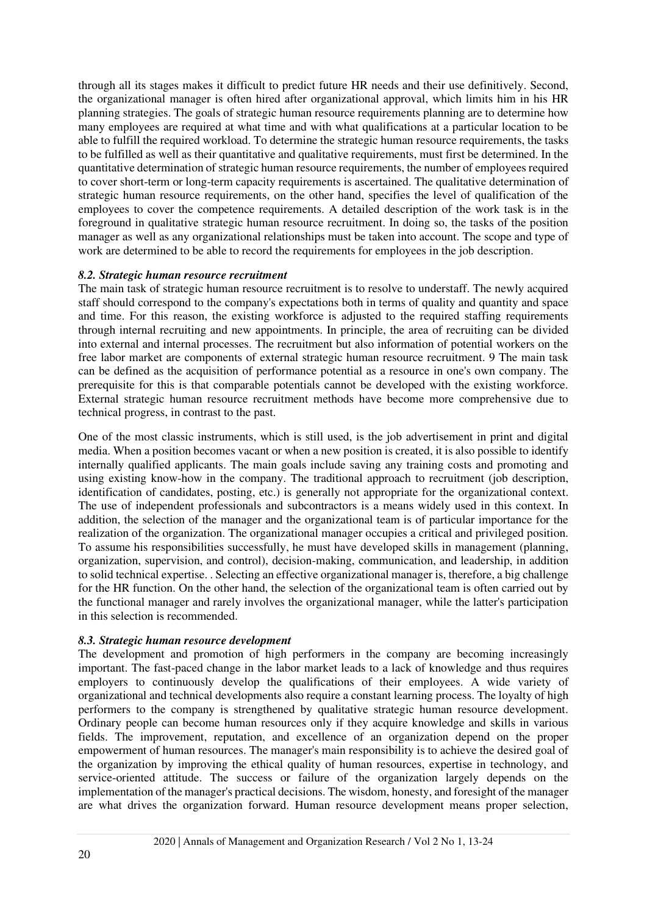through all its stages makes it difficult to predict future HR needs and their use definitively. Second, the organizational manager is often hired after organizational approval, which limits him in his HR planning strategies. The goals of strategic human resource requirements planning are to determine how many employees are required at what time and with what qualifications at a particular location to be able to fulfill the required workload. To determine the strategic human resource requirements, the tasks to be fulfilled as well as their quantitative and qualitative requirements, must first be determined. In the quantitative determination of strategic human resource requirements, the number of employees required to cover short-term or long-term capacity requirements is ascertained. The qualitative determination of strategic human resource requirements, on the other hand, specifies the level of qualification of the employees to cover the competence requirements. A detailed description of the work task is in the foreground in qualitative strategic human resource recruitment. In doing so, the tasks of the position manager as well as any organizational relationships must be taken into account. The scope and type of work are determined to be able to record the requirements for employees in the job description.

## *8.2. Strategic human resource recruitment*

The main task of strategic human resource recruitment is to resolve to understaff. The newly acquired staff should correspond to the company's expectations both in terms of quality and quantity and space and time. For this reason, the existing workforce is adjusted to the required staffing requirements through internal recruiting and new appointments. In principle, the area of recruiting can be divided into external and internal processes. The recruitment but also information of potential workers on the free labor market are components of external strategic human resource recruitment. 9 The main task can be defined as the acquisition of performance potential as a resource in one's own company. The prerequisite for this is that comparable potentials cannot be developed with the existing workforce. External strategic human resource recruitment methods have become more comprehensive due to technical progress, in contrast to the past.

One of the most classic instruments, which is still used, is the job advertisement in print and digital media. When a position becomes vacant or when a new position is created, it is also possible to identify internally qualified applicants. The main goals include saving any training costs and promoting and using existing know-how in the company. The traditional approach to recruitment (job description, identification of candidates, posting, etc.) is generally not appropriate for the organizational context. The use of independent professionals and subcontractors is a means widely used in this context. In addition, the selection of the manager and the organizational team is of particular importance for the realization of the organization. The organizational manager occupies a critical and privileged position. To assume his responsibilities successfully, he must have developed skills in management (planning, organization, supervision, and control), decision-making, communication, and leadership, in addition to solid technical expertise. . Selecting an effective organizational manager is, therefore, a big challenge for the HR function. On the other hand, the selection of the organizational team is often carried out by the functional manager and rarely involves the organizational manager, while the latter's participation in this selection is recommended.

## *8.3. Strategic human resource development*

The development and promotion of high performers in the company are becoming increasingly important. The fast-paced change in the labor market leads to a lack of knowledge and thus requires employers to continuously develop the qualifications of their employees. A wide variety of organizational and technical developments also require a constant learning process. The loyalty of high performers to the company is strengthened by qualitative strategic human resource development. Ordinary people can become human resources only if they acquire knowledge and skills in various fields. The improvement, reputation, and excellence of an organization depend on the proper empowerment of human resources. The manager's main responsibility is to achieve the desired goal of the organization by improving the ethical quality of human resources, expertise in technology, and service-oriented attitude. The success or failure of the organization largely depends on the implementation of the manager's practical decisions. The wisdom, honesty, and foresight of the manager are what drives the organization forward. Human resource development means proper selection,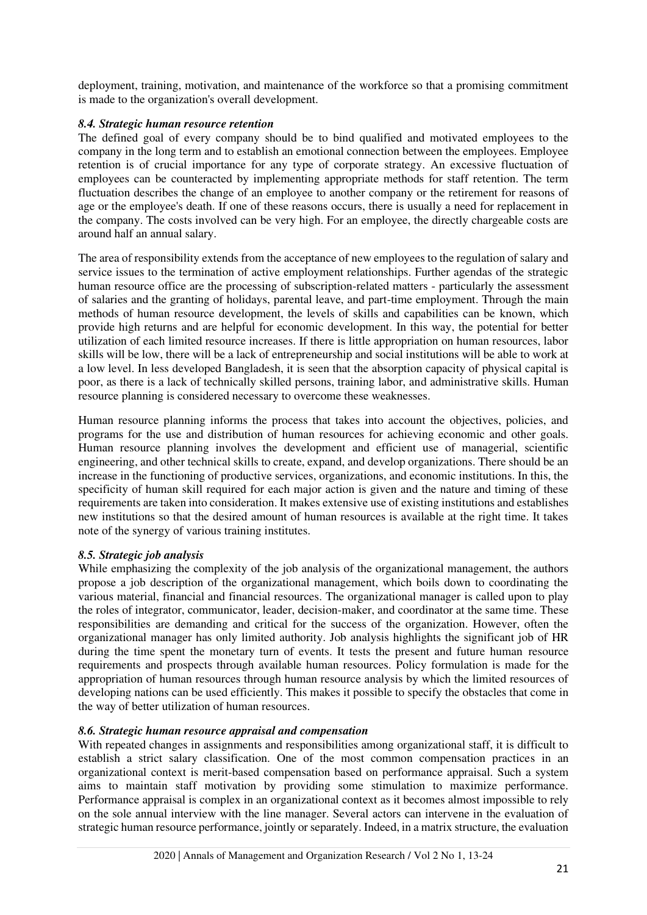deployment, training, motivation, and maintenance of the workforce so that a promising commitment is made to the organization's overall development.

#### *8.4. Strategic human resource retention*

The defined goal of every company should be to bind qualified and motivated employees to the company in the long term and to establish an emotional connection between the employees. Employee retention is of crucial importance for any type of corporate strategy. An excessive fluctuation of employees can be counteracted by implementing appropriate methods for staff retention. The term fluctuation describes the change of an employee to another company or the retirement for reasons of age or the employee's death. If one of these reasons occurs, there is usually a need for replacement in the company. The costs involved can be very high. For an employee, the directly chargeable costs are around half an annual salary.

The area of responsibility extends from the acceptance of new employees to the regulation of salary and service issues to the termination of active employment relationships. Further agendas of the strategic human resource office are the processing of subscription-related matters - particularly the assessment of salaries and the granting of holidays, parental leave, and part-time employment. Through the main methods of human resource development, the levels of skills and capabilities can be known, which provide high returns and are helpful for economic development. In this way, the potential for better utilization of each limited resource increases. If there is little appropriation on human resources, labor skills will be low, there will be a lack of entrepreneurship and social institutions will be able to work at a low level. In less developed Bangladesh, it is seen that the absorption capacity of physical capital is poor, as there is a lack of technically skilled persons, training labor, and administrative skills. Human resource planning is considered necessary to overcome these weaknesses.

Human resource planning informs the process that takes into account the objectives, policies, and programs for the use and distribution of human resources for achieving economic and other goals. Human resource planning involves the development and efficient use of managerial, scientific engineering, and other technical skills to create, expand, and develop organizations. There should be an increase in the functioning of productive services, organizations, and economic institutions. In this, the specificity of human skill required for each major action is given and the nature and timing of these requirements are taken into consideration. It makes extensive use of existing institutions and establishes new institutions so that the desired amount of human resources is available at the right time. It takes note of the synergy of various training institutes.

## *8.5. Strategic job analysis*

While emphasizing the complexity of the job analysis of the organizational management, the authors propose a job description of the organizational management, which boils down to coordinating the various material, financial and financial resources. The organizational manager is called upon to play the roles of integrator, communicator, leader, decision-maker, and coordinator at the same time. These responsibilities are demanding and critical for the success of the organization. However, often the organizational manager has only limited authority. Job analysis highlights the significant job of HR during the time spent the monetary turn of events. It tests the present and future human resource requirements and prospects through available human resources. Policy formulation is made for the appropriation of human resources through human resource analysis by which the limited resources of developing nations can be used efficiently. This makes it possible to specify the obstacles that come in the way of better utilization of human resources.

## *8.6. Strategic human resource appraisal and compensation*

With repeated changes in assignments and responsibilities among organizational staff, it is difficult to establish a strict salary classification. One of the most common compensation practices in an organizational context is merit-based compensation based on performance appraisal. Such a system aims to maintain staff motivation by providing some stimulation to maximize performance. Performance appraisal is complex in an organizational context as it becomes almost impossible to rely on the sole annual interview with the line manager. Several actors can intervene in the evaluation of strategic human resource performance, jointly or separately. Indeed, in a matrix structure, the evaluation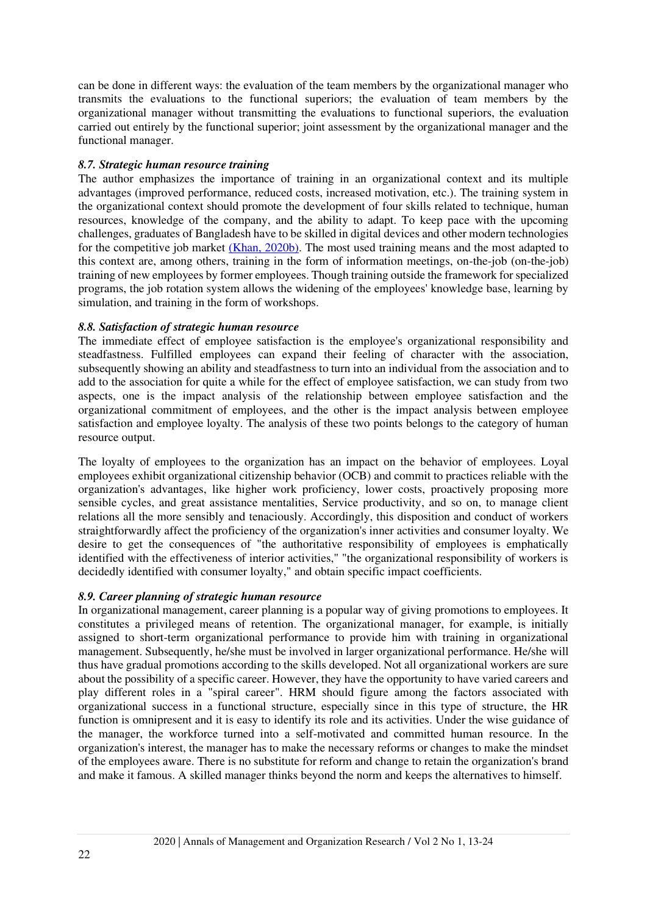can be done in different ways: the evaluation of the team members by the organizational manager who transmits the evaluations to the functional superiors; the evaluation of team members by the organizational manager without transmitting the evaluations to functional superiors, the evaluation carried out entirely by the functional superior; joint assessment by the organizational manager and the functional manager.

#### *8.7. Strategic human resource training*

The author emphasizes the importance of training in an organizational context and its multiple advantages (improved performance, reduced costs, increased motivation, etc.). The training system in the organizational context should promote the development of four skills related to technique, human resources, knowledge of the company, and the ability to adapt. To keep pace with the upcoming challenges, graduates of Bangladesh have to be skilled in digital devices and other modern technologies for the competitive job market [\(Khan, 2020b\).](#page-11-14) The most used training means and the most adapted to this context are, among others, training in the form of information meetings, on-the-job (on-the-job) training of new employees by former employees. Though training outside the framework for specialized programs, the job rotation system allows the widening of the employees' knowledge base, learning by simulation, and training in the form of workshops.

#### *8.8. Satisfaction of strategic human resource*

The immediate effect of employee satisfaction is the employee's organizational responsibility and steadfastness. Fulfilled employees can expand their feeling of character with the association, subsequently showing an ability and steadfastness to turn into an individual from the association and to add to the association for quite a while for the effect of employee satisfaction, we can study from two aspects, one is the impact analysis of the relationship between employee satisfaction and the organizational commitment of employees, and the other is the impact analysis between employee satisfaction and employee loyalty. The analysis of these two points belongs to the category of human resource output.

The loyalty of employees to the organization has an impact on the behavior of employees. Loyal employees exhibit organizational citizenship behavior (OCB) and commit to practices reliable with the organization's advantages, like higher work proficiency, lower costs, proactively proposing more sensible cycles, and great assistance mentalities, Service productivity, and so on, to manage client relations all the more sensibly and tenaciously. Accordingly, this disposition and conduct of workers straightforwardly affect the proficiency of the organization's inner activities and consumer loyalty. We desire to get the consequences of "the authoritative responsibility of employees is emphatically identified with the effectiveness of interior activities," "the organizational responsibility of workers is decidedly identified with consumer loyalty," and obtain specific impact coefficients.

#### *8.9. Career planning of strategic human resource*

In organizational management, career planning is a popular way of giving promotions to employees. It constitutes a privileged means of retention. The organizational manager, for example, is initially assigned to short-term organizational performance to provide him with training in organizational management. Subsequently, he/she must be involved in larger organizational performance. He/she will thus have gradual promotions according to the skills developed. Not all organizational workers are sure about the possibility of a specific career. However, they have the opportunity to have varied careers and play different roles in a "spiral career". HRM should figure among the factors associated with organizational success in a functional structure, especially since in this type of structure, the HR function is omnipresent and it is easy to identify its role and its activities. Under the wise guidance of the manager, the workforce turned into a self-motivated and committed human resource. In the organization's interest, the manager has to make the necessary reforms or changes to make the mindset of the employees aware. There is no substitute for reform and change to retain the organization's brand and make it famous. A skilled manager thinks beyond the norm and keeps the alternatives to himself.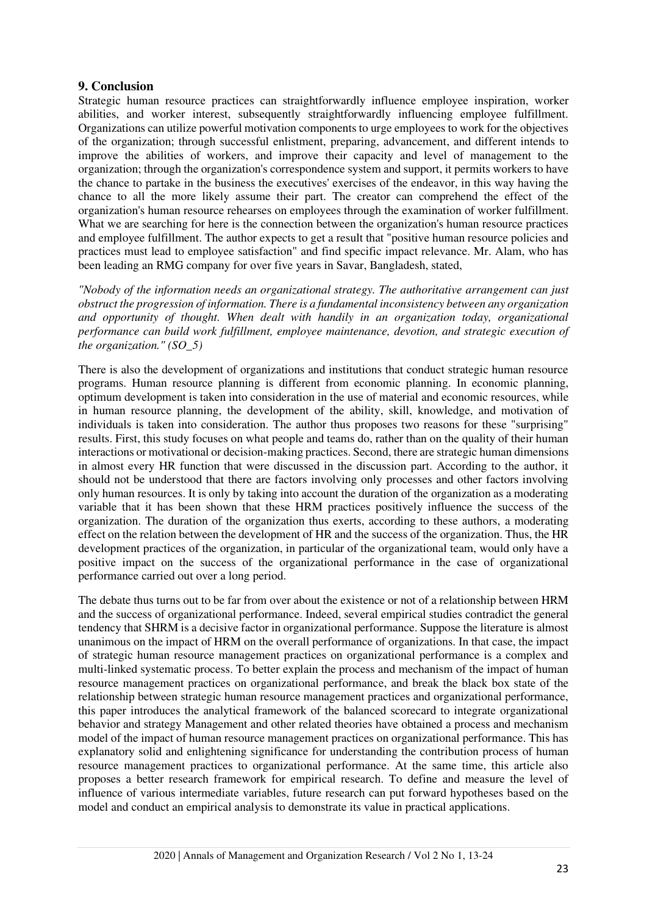## **9. Conclusion**

Strategic human resource practices can straightforwardly influence employee inspiration, worker abilities, and worker interest, subsequently straightforwardly influencing employee fulfillment. Organizations can utilize powerful motivation components to urge employees to work for the objectives of the organization; through successful enlistment, preparing, advancement, and different intends to improve the abilities of workers, and improve their capacity and level of management to the organization; through the organization's correspondence system and support, it permits workers to have the chance to partake in the business the executives' exercises of the endeavor, in this way having the chance to all the more likely assume their part. The creator can comprehend the effect of the organization's human resource rehearses on employees through the examination of worker fulfillment. What we are searching for here is the connection between the organization's human resource practices and employee fulfillment. The author expects to get a result that "positive human resource policies and practices must lead to employee satisfaction" and find specific impact relevance. Mr. Alam, who has been leading an RMG company for over five years in Savar, Bangladesh, stated,

*"Nobody of the information needs an organizational strategy. The authoritative arrangement can just obstruct the progression of information. There is a fundamental inconsistency between any organization and opportunity of thought. When dealt with handily in an organization today, organizational performance can build work fulfillment, employee maintenance, devotion, and strategic execution of the organization." (SO\_5)* 

There is also the development of organizations and institutions that conduct strategic human resource programs. Human resource planning is different from economic planning. In economic planning, optimum development is taken into consideration in the use of material and economic resources, while in human resource planning, the development of the ability, skill, knowledge, and motivation of individuals is taken into consideration. The author thus proposes two reasons for these "surprising" results. First, this study focuses on what people and teams do, rather than on the quality of their human interactions or motivational or decision-making practices. Second, there are strategic human dimensions in almost every HR function that were discussed in the discussion part. According to the author, it should not be understood that there are factors involving only processes and other factors involving only human resources. It is only by taking into account the duration of the organization as a moderating variable that it has been shown that these HRM practices positively influence the success of the organization. The duration of the organization thus exerts, according to these authors, a moderating effect on the relation between the development of HR and the success of the organization. Thus, the HR development practices of the organization, in particular of the organizational team, would only have a positive impact on the success of the organizational performance in the case of organizational performance carried out over a long period.

The debate thus turns out to be far from over about the existence or not of a relationship between HRM and the success of organizational performance. Indeed, several empirical studies contradict the general tendency that SHRM is a decisive factor in organizational performance. Suppose the literature is almost unanimous on the impact of HRM on the overall performance of organizations. In that case, the impact of strategic human resource management practices on organizational performance is a complex and multi-linked systematic process. To better explain the process and mechanism of the impact of human resource management practices on organizational performance, and break the black box state of the relationship between strategic human resource management practices and organizational performance, this paper introduces the analytical framework of the balanced scorecard to integrate organizational behavior and strategy Management and other related theories have obtained a process and mechanism model of the impact of human resource management practices on organizational performance. This has explanatory solid and enlightening significance for understanding the contribution process of human resource management practices to organizational performance. At the same time, this article also proposes a better research framework for empirical research. To define and measure the level of influence of various intermediate variables, future research can put forward hypotheses based on the model and conduct an empirical analysis to demonstrate its value in practical applications.